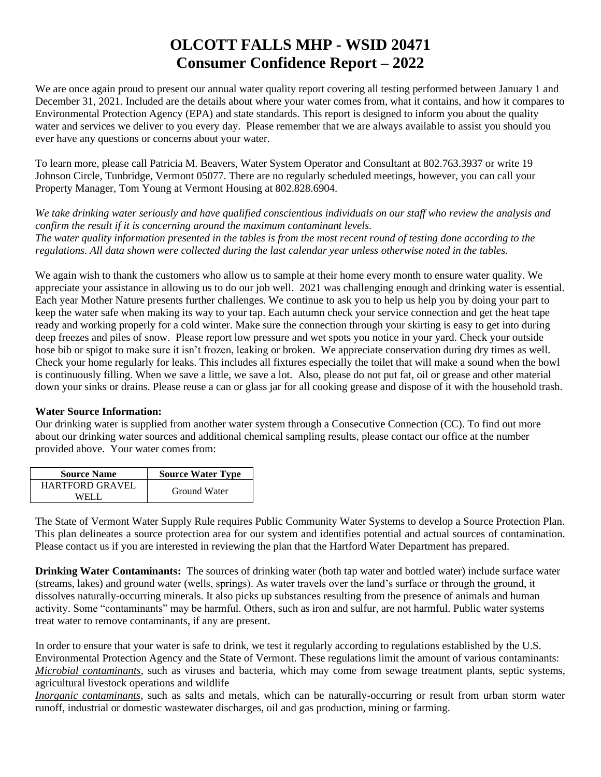# **OLCOTT FALLS MHP - WSID 20471 Consumer Confidence Report – 2022**

We are once again proud to present our annual water quality report covering all testing performed between January 1 and December 31, 2021. Included are the details about where your water comes from, what it contains, and how it compares to Environmental Protection Agency (EPA) and state standards. This report is designed to inform you about the quality water and services we deliver to you every day. Please remember that we are always available to assist you should you ever have any questions or concerns about your water.

To learn more, please call Patricia M. Beavers, Water System Operator and Consultant at 802.763.3937 or write 19 Johnson Circle, Tunbridge, Vermont 05077. There are no regularly scheduled meetings, however, you can call your Property Manager, Tom Young at Vermont Housing at 802.828.6904.

*We take drinking water seriously and have qualified conscientious individuals on our staff who review the analysis and confirm the result if it is concerning around the maximum contaminant levels. The water quality information presented in the tables is from the most recent round of testing done according to the regulations. All data shown were collected during the last calendar year unless otherwise noted in the tables.* 

We again wish to thank the customers who allow us to sample at their home every month to ensure water quality. We appreciate your assistance in allowing us to do our job well. 2021 was challenging enough and drinking water is essential. Each year Mother Nature presents further challenges. We continue to ask you to help us help you by doing your part to keep the water safe when making its way to your tap. Each autumn check your service connection and get the heat tape ready and working properly for a cold winter. Make sure the connection through your skirting is easy to get into during deep freezes and piles of snow. Please report low pressure and wet spots you notice in your yard. Check your outside hose bib or spigot to make sure it isn't frozen, leaking or broken. We appreciate conservation during dry times as well. Check your home regularly for leaks. This includes all fixtures especially the toilet that will make a sound when the bowl is continuously filling. When we save a little, we save a lot. Also, please do not put fat, oil or grease and other material down your sinks or drains. Please reuse a can or glass jar for all cooking grease and dispose of it with the household trash.

#### **Water Source Information:**

Our drinking water is supplied from another water system through a Consecutive Connection (CC). To find out more about our drinking water sources and additional chemical sampling results, please contact our office at the number provided above. Your water comes from:

| <b>Source Name</b>     | <b>Source Water Type</b> |  |  |
|------------------------|--------------------------|--|--|
| <b>HARTFORD GRAVEL</b> | Ground Water             |  |  |
| WFI I                  |                          |  |  |

The State of Vermont Water Supply Rule requires Public Community Water Systems to develop a Source Protection Plan. This plan delineates a source protection area for our system and identifies potential and actual sources of contamination. Please contact us if you are interested in reviewing the plan that the Hartford Water Department has prepared.

**Drinking Water Contaminants:** The sources of drinking water (both tap water and bottled water) include surface water (streams, lakes) and ground water (wells, springs). As water travels over the land's surface or through the ground, it dissolves naturally-occurring minerals. It also picks up substances resulting from the presence of animals and human activity. Some "contaminants" may be harmful. Others, such as iron and sulfur, are not harmful. Public water systems treat water to remove contaminants, if any are present.

In order to ensure that your water is safe to drink, we test it regularly according to regulations established by the U.S. Environmental Protection Agency and the State of Vermont. These regulations limit the amount of various contaminants: *Microbial contaminants*, such as viruses and bacteria, which may come from sewage treatment plants, septic systems, agricultural livestock operations and wildlife

*Inorganic contaminants*, such as salts and metals, which can be naturally-occurring or result from urban storm water runoff, industrial or domestic wastewater discharges, oil and gas production, mining or farming.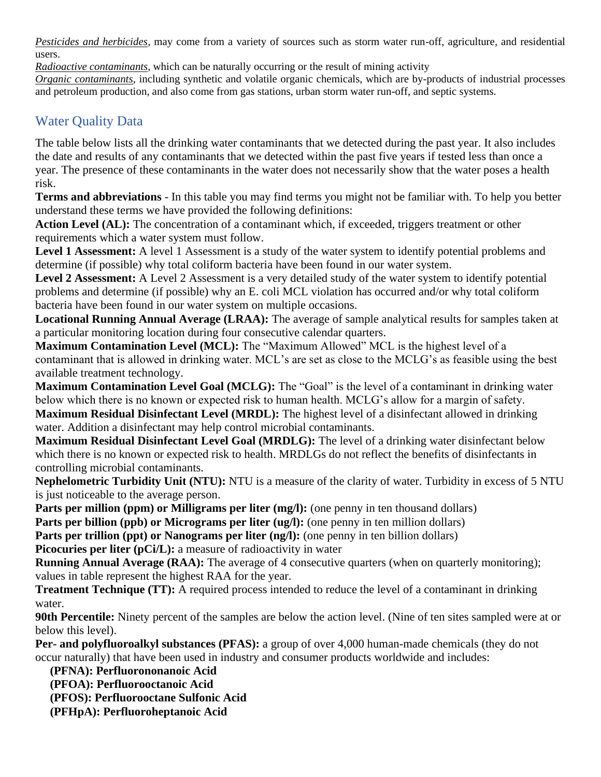*Pesticides and herbicides*, may come from a variety of sources such as storm water run-off, agriculture, and residential users.

*Radioactive contaminants*, which can be naturally occurring or the result of mining activity

*Organic contaminants*, including synthetic and volatile organic chemicals, which are by-products of industrial processes and petroleum production, and also come from gas stations, urban storm water run-off, and septic systems.

## Water Quality Data

The table below lists all the drinking water contaminants that we detected during the past year. It also includes the date and results of any contaminants that we detected within the past five years if tested less than once a year. The presence of these contaminants in the water does not necessarily show that the water poses a health risk.

**Terms and abbreviations** - In this table you may find terms you might not be familiar with. To help you better understand these terms we have provided the following definitions:

Action Level (AL): The concentration of a contaminant which, if exceeded, triggers treatment or other requirements which a water system must follow.

Level 1 Assessment: A level 1 Assessment is a study of the water system to identify potential problems and determine (if possible) why total coliform bacteria have been found in our water system.

**Level 2 Assessment:** A Level 2 Assessment is a very detailed study of the water system to identify potential problems and determine (if possible) why an E. coli MCL violation has occurred and/or why total coliform bacteria have been found in our water system on multiple occasions.

**Locational Running Annual Average (LRAA):** The average of sample analytical results for samples taken at a particular monitoring location during four consecutive calendar quarters.

**Maximum Contamination Level (MCL):** The "Maximum Allowed" MCL is the highest level of a contaminant that is allowed in drinking water. MCL's are set as close to the MCLG's as feasible using the best available treatment technology.

**Maximum Contamination Level Goal (MCLG):** The "Goal" is the level of a contaminant in drinking water below which there is no known or expected risk to human health. MCLG's allow for a margin of safety. **Maximum Residual Disinfectant Level (MRDL):** The highest level of a disinfectant allowed in drinking water. Addition a disinfectant may help control microbial contaminants.

**Maximum Residual Disinfectant Level Goal (MRDLG):** The level of a drinking water disinfectant below which there is no known or expected risk to health. MRDLGs do not reflect the benefits of disinfectants in controlling microbial contaminants.

**Nephelometric Turbidity Unit (NTU):** NTU is a measure of the clarity of water. Turbidity in excess of 5 NTU is just noticeable to the average person.

**Parts per million (ppm) or Milligrams per liter (mg/l):** (one penny in ten thousand dollars)

**Parts per billion (ppb) or Micrograms per liter (ug/l):** (one penny in ten million dollars)

**Parts per trillion (ppt) or Nanograms per liter (ng/l):** (one penny in ten billion dollars)

**Picocuries per liter (pCi/L):** a measure of radioactivity in water

**Running Annual Average (RAA):** The average of 4 consecutive quarters (when on quarterly monitoring); values in table represent the highest RAA for the year.

**Treatment Technique (TT):** A required process intended to reduce the level of a contaminant in drinking water.

**90th Percentile:** Ninety percent of the samples are below the action level. (Nine of ten sites sampled were at or below this level).

**Per- and polyfluoroalkyl substances (PFAS):** a group of over 4,000 human-made chemicals (they do not occur naturally) that have been used in industry and consumer products worldwide and includes:

**(PFNA): Perfluorononanoic Acid**

**(PFOA): Perfluorooctanoic Acid**

**(PFOS): Perfluorooctane Sulfonic Acid**

**(PFHpA): Perfluoroheptanoic Acid**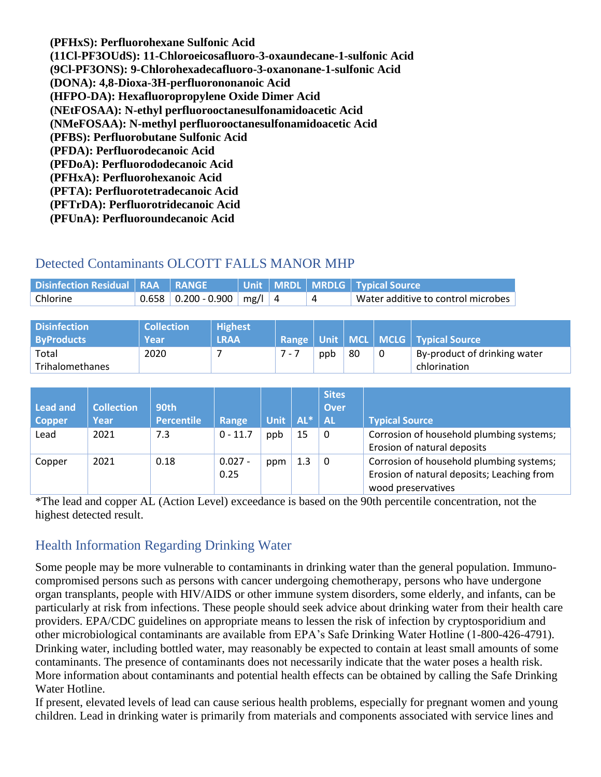**(PFHxS): Perfluorohexane Sulfonic Acid (11Cl-PF3OUdS): 11-Chloroeicosafluoro-3-oxaundecane-1-sulfonic Acid (9Cl-PF3ONS): 9-Chlorohexadecafluoro-3-oxanonane-1-sulfonic Acid (DONA): 4,8-Dioxa-3H-perfluorononanoic Acid (HFPO-DA): Hexafluoropropylene Oxide Dimer Acid (NEtFOSAA): N-ethyl perfluorooctanesulfonamidoacetic Acid (NMeFOSAA): N-methyl perfluorooctanesulfonamidoacetic Acid (PFBS): Perfluorobutane Sulfonic Acid (PFDA): Perfluorodecanoic Acid (PFDoA): Perfluorododecanoic Acid (PFHxA): Perfluorohexanoic Acid (PFTA): Perfluorotetradecanoic Acid (PFTrDA): Perfluorotridecanoic Acid (PFUnA): Perfluoroundecanoic Acid**

### Detected Contaminants OLCOTT FALLS MANOR MHP

| Disinfection Residual   RAA   RANGE |                                    |  | Unit   MRDL   MRDLG   Typical Source |
|-------------------------------------|------------------------------------|--|--------------------------------------|
| Chlorine                            | $0.658$   0.200 - 0.900   mg/l   4 |  | Water additive to control microbes   |

| <b>Disinfection</b><br><b>ByProducts</b> | <b>Collection</b><br>Year | <b>Highest</b><br><b>LRAA</b> |     |     |    | Range   Unit   MCL   MCLG   Typical Source |
|------------------------------------------|---------------------------|-------------------------------|-----|-----|----|--------------------------------------------|
| Total                                    | 2020                      |                               | ppb | -80 | -0 | By-product of drinking water               |
| Trihalomethanes                          |                           |                               |     |     |    | chlorination                               |

|                 |                   |                   |            |             |        | <b>Sites</b>             |                                            |
|-----------------|-------------------|-------------------|------------|-------------|--------|--------------------------|--------------------------------------------|
| <b>Lead and</b> | <b>Collection</b> | <b>90th</b>       |            |             |        | <b>Over</b>              |                                            |
| <b>Copper</b>   | Year              | <b>Percentile</b> | Range      | <b>Unit</b> | $AL^*$ | $\overline{\mathsf{AL}}$ | <b>Typical Source</b>                      |
| Lead            | 2021              | 7.3               | $0 - 11.7$ | ppb         | 15     | $\Omega$                 | Corrosion of household plumbing systems;   |
|                 |                   |                   |            |             |        |                          | Erosion of natural deposits                |
| Copper          | 2021              | 0.18              | $0.027 -$  | ppm         | 1.3    | 0                        | Corrosion of household plumbing systems;   |
|                 |                   |                   | 0.25       |             |        |                          | Erosion of natural deposits; Leaching from |
|                 |                   |                   |            |             |        |                          | wood preservatives                         |

\*The lead and copper AL (Action Level) exceedance is based on the 90th percentile concentration, not the highest detected result.

## Health Information Regarding Drinking Water

Some people may be more vulnerable to contaminants in drinking water than the general population. Immunocompromised persons such as persons with cancer undergoing chemotherapy, persons who have undergone organ transplants, people with HIV/AIDS or other immune system disorders, some elderly, and infants, can be particularly at risk from infections. These people should seek advice about drinking water from their health care providers. EPA/CDC guidelines on appropriate means to lessen the risk of infection by cryptosporidium and other microbiological contaminants are available from EPA's Safe Drinking Water Hotline (1-800-426-4791). Drinking water, including bottled water, may reasonably be expected to contain at least small amounts of some contaminants. The presence of contaminants does not necessarily indicate that the water poses a health risk. More information about contaminants and potential health effects can be obtained by calling the Safe Drinking Water Hotline.

If present, elevated levels of lead can cause serious health problems, especially for pregnant women and young children. Lead in drinking water is primarily from materials and components associated with service lines and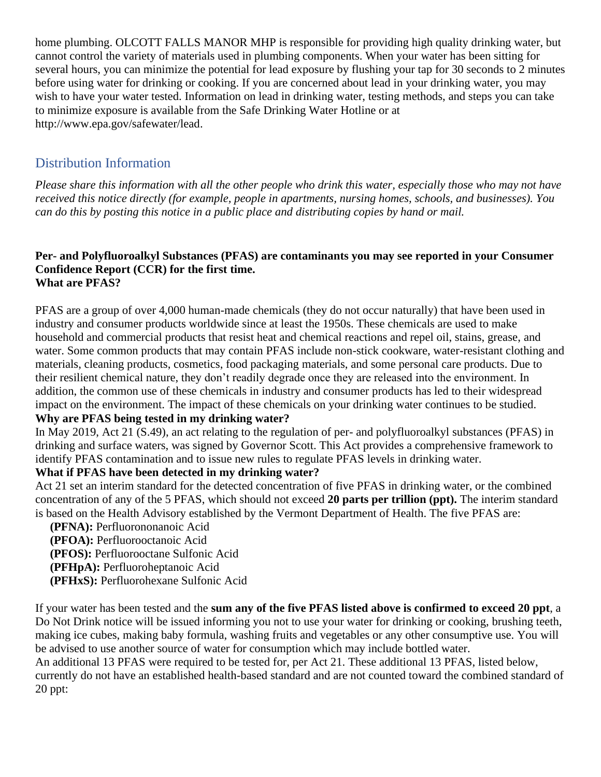home plumbing. OLCOTT FALLS MANOR MHP is responsible for providing high quality drinking water, but cannot control the variety of materials used in plumbing components. When your water has been sitting for several hours, you can minimize the potential for lead exposure by flushing your tap for 30 seconds to 2 minutes before using water for drinking or cooking. If you are concerned about lead in your drinking water, you may wish to have your water tested. Information on lead in drinking water, testing methods, and steps you can take to minimize exposure is available from the Safe Drinking Water Hotline or at [http://www.epa.gov/safewater/lead.](http://www.epa.gov/safewater/lead)

## Distribution Information

*Please share this information with all the other people who drink this water, especially those who may not have received this notice directly (for example, people in apartments, nursing homes, schools, and businesses). You can do this by posting this notice in a public place and distributing copies by hand or mail.*

#### **Per- and Polyfluoroalkyl Substances (PFAS) are contaminants you may see reported in your Consumer Confidence Report (CCR) for the first time. What are PFAS?**

PFAS are a group of over 4,000 human-made chemicals (they do not occur naturally) that have been used in industry and consumer products worldwide since at least the 1950s. These chemicals are used to make household and commercial products that resist heat and chemical reactions and repel oil, stains, grease, and water. Some common products that may contain PFAS include non-stick cookware, water-resistant clothing and materials, cleaning products, cosmetics, food packaging materials, and some personal care products. Due to their resilient chemical nature, they don't readily degrade once they are released into the environment. In addition, the common use of these chemicals in industry and consumer products has led to their widespread impact on the environment. The impact of these chemicals on your drinking water continues to be studied.

#### **Why are PFAS being tested in my drinking water?**

In May 2019, Act 21 (S.49), an act relating to the regulation of per- and polyfluoroalkyl substances (PFAS) in drinking and surface waters, was signed by Governor Scott. This Act provides a comprehensive framework to identify PFAS contamination and to issue new rules to regulate PFAS levels in drinking water.

### **What if PFAS have been detected in my drinking water?**

Act 21 set an interim standard for the detected concentration of five PFAS in drinking water, or the combined concentration of any of the 5 PFAS, which should not exceed **20 parts per trillion (ppt).** The interim standard is based on the Health Advisory established by the Vermont Department of Health. The five PFAS are:

 **(PFNA):** Perfluorononanoic Acid **(PFOA):** Perfluorooctanoic Acid **(PFOS):** Perfluorooctane Sulfonic Acid **(PFHpA):** Perfluoroheptanoic Acid **(PFHxS):** Perfluorohexane Sulfonic Acid

If your water has been tested and the **sum any of the five PFAS listed above is confirmed to exceed 20 ppt**, a Do Not Drink notice will be issued informing you not to use your water for drinking or cooking, brushing teeth, making ice cubes, making baby formula, washing fruits and vegetables or any other consumptive use. You will be advised to use another source of water for consumption which may include bottled water.

An additional 13 PFAS were required to be tested for, per Act 21. These additional 13 PFAS, listed below, currently do not have an established health-based standard and are not counted toward the combined standard of 20 ppt: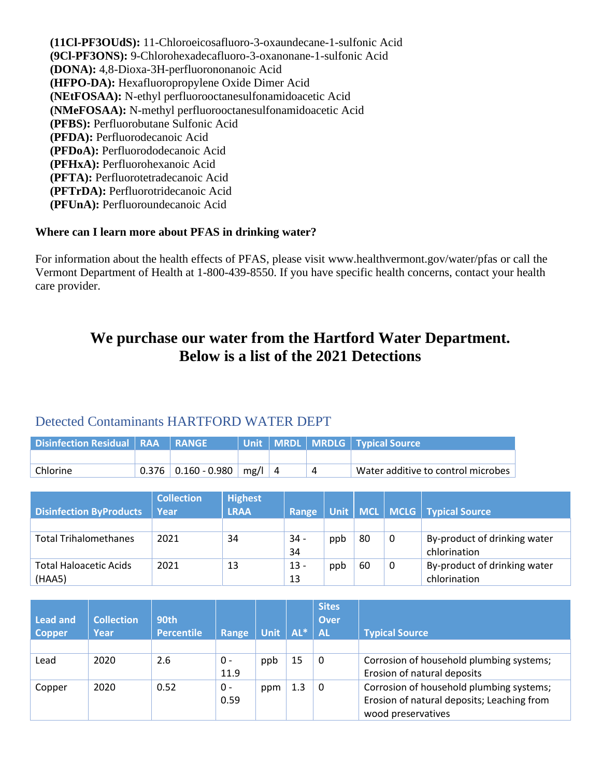**(11Cl-PF3OUdS):** 11-Chloroeicosafluoro-3-oxaundecane-1-sulfonic Acid **(9Cl-PF3ONS):** 9-Chlorohexadecafluoro-3-oxanonane-1-sulfonic Acid **(DONA):** 4,8-Dioxa-3H-perfluorononanoic Acid **(HFPO-DA):** Hexafluoropropylene Oxide Dimer Acid **(NEtFOSAA):** N-ethyl perfluorooctanesulfonamidoacetic Acid **(NMeFOSAA):** N-methyl perfluorooctanesulfonamidoacetic Acid **(PFBS):** Perfluorobutane Sulfonic Acid **(PFDA):** Perfluorodecanoic Acid **(PFDoA):** Perfluorododecanoic Acid **(PFHxA):** Perfluorohexanoic Acid **(PFTA):** Perfluorotetradecanoic Acid **(PFTrDA):** Perfluorotridecanoic Acid **(PFUnA):** Perfluoroundecanoic Acid

#### **Where can I learn more about PFAS in drinking water?**

For information about the health effects of PFAS, please visit [www.healthvermont.gov/water/pfas](../../../Downloads/www.healthvermont.gov/water/pfas) or call the Vermont Department of Health at 1-800-439-8550. If you have specific health concerns, contact your health care provider.

# **We purchase our water from the Hartford Water Department. Below is a list of the 2021 Detections**

### Detected Contaminants HARTFORD WATER DEPT

| Disinfection Residual   RAA   RANGE |                       |            |  | Unit   MRDL   MRDLG   Typical Source |
|-------------------------------------|-----------------------|------------|--|--------------------------------------|
|                                     |                       |            |  |                                      |
| Chlorine                            | $0.376$ 0.160 - 0.980 | $mg/ $   4 |  | Water additive to control microbes   |

|                                | <b>Collection</b> | <b>Highest</b> |        |     |    |   |                                    |
|--------------------------------|-------------------|----------------|--------|-----|----|---|------------------------------------|
| <b>Disinfection ByProducts</b> | Year              | <b>LRAA</b>    | Range  |     |    |   | Unit   MCL   MCLG   Typical Source |
|                                |                   |                |        |     |    |   |                                    |
| <b>Total Trihalomethanes</b>   | 2021              | 34             | $34 -$ | ppb | 80 | 0 | By-product of drinking water       |
|                                |                   |                | 34     |     |    |   | chlorination                       |
| <b>Total Haloacetic Acids</b>  | 2021              | 13             | $13 -$ | ppb | 60 | 0 | By-product of drinking water       |
| (HAA5)                         |                   |                | 13     |     |    |   | chlorination                       |

| <b>Lead and</b><br><b>Copper</b> | <b>Collection</b><br>Year | 90th<br><b>Percentile</b> | Range | Unit | $AL^*$ | <b>Sites</b><br><b>Over</b><br><b>AL</b> | <b>Typical Source</b>                      |
|----------------------------------|---------------------------|---------------------------|-------|------|--------|------------------------------------------|--------------------------------------------|
|                                  |                           |                           |       |      |        |                                          |                                            |
| Lead                             | 2020                      | 2.6                       | 0 -   | ppb  | 15     | 0                                        | Corrosion of household plumbing systems;   |
|                                  |                           |                           | 11.9  |      |        |                                          | Erosion of natural deposits                |
| Copper                           | 2020                      | 0.52                      | 0 -   | ppm  | 1.3    | 0                                        | Corrosion of household plumbing systems;   |
|                                  |                           |                           | 0.59  |      |        |                                          | Erosion of natural deposits; Leaching from |
|                                  |                           |                           |       |      |        |                                          | wood preservatives                         |